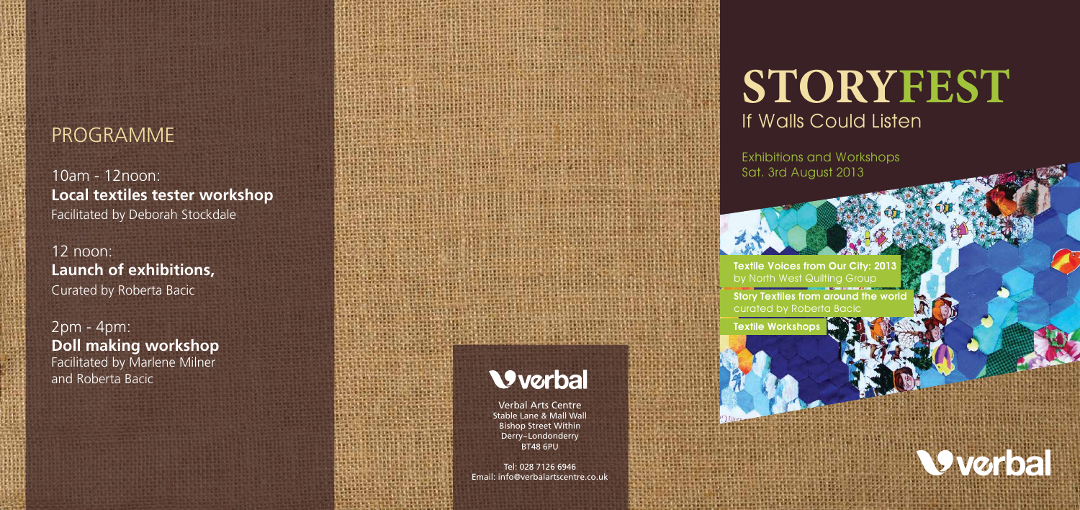Verbal Arts Centre Stable Lane & Mall Wall Bishop Street Within Derry~Londonderry BT48 6PU

# STORYFEST If Walls Could Listen

Tel: 028 7126 6946 Email: info@verbalartscentre.co.uk

**Textile Voices from Our City: 201** by North West Quilting Group

Exhibitions and Workshops Sat. 3rd August 2013

Story Textiles from around the world curated by Roberta Bacic

Textile Workshops



### **PROGRAMME**

10am - 12noon: **Local textiles tester workshop** Facilitated by Deborah Stockdale

12 noon: **Launch of exhibitions,**  Curated by Roberta Bacic

2pm - 4pm: **Doll making workshop**  Facilitated by Marlene Milner and Roberta Bacic